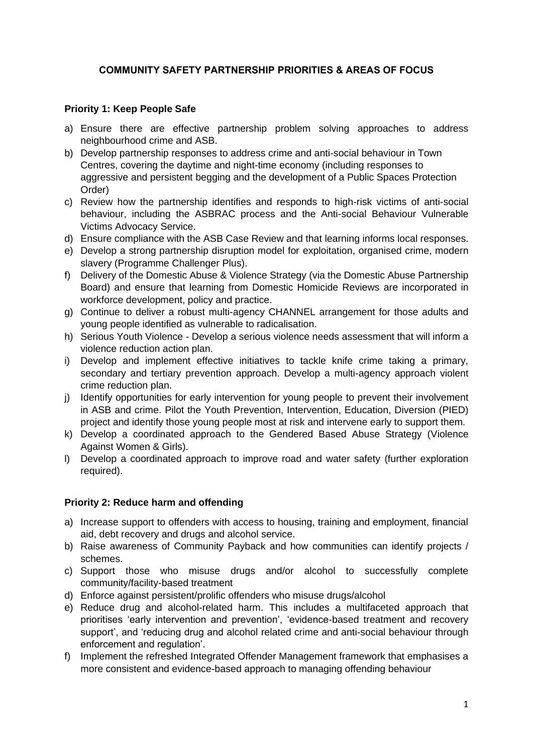# **COMMUNITY SAFETY PARTNERSHIP PRIORITIES & AREAS OF FOCUS**

# **Priority 1: Keep People Safe**

- a) Ensure there are effective partnership problem solving approaches to address neighbourhood crime and ASB.
- b) Develop partnership responses to address crime and anti-social behaviour in Town Centres, covering the daytime and night-time economy (including responses to aggressive and persistent begging and the development of a Public Spaces Protection Order)
- c) Review how the partnership identifies and responds to high-risk victims of anti-social behaviour, including the ASBRAC process and the Anti-social Behaviour Vulnerable Victims Advocacy Service.
- d) Ensure compliance with the ASB Case Review and that learning informs local responses.
- e) Develop a strong partnership disruption model for exploitation, organised crime, modern slavery (Programme Challenger Plus).
- f) Delivery of the Domestic Abuse & Violence Strategy (via the Domestic Abuse Partnership Board) and ensure that learning from Domestic Homicide Reviews are incorporated in workforce development, policy and practice.
- g) Continue to deliver a robust multi-agency CHANNEL arrangement for those adults and young people identified as vulnerable to radicalisation.
- h) Serious Youth Violence Develop a serious violence needs assessment that will inform a violence reduction action plan.
- i) Develop and implement effective initiatives to tackle knife crime taking a primary, secondary and tertiary prevention approach. Develop a multi-agency approach violent crime reduction plan.
- j) Identify opportunities for early intervention for young people to prevent their involvement in ASB and crime. Pilot the Youth Prevention, Intervention, Education, Diversion (PIED) project and identify those young people most at risk and intervene early to support them.
- k) Develop a coordinated approach to the Gendered Based Abuse Strategy (Violence Against Women & Girls).
- l) Develop a coordinated approach to improve road and water safety (further exploration required).

### **Priority 2: Reduce harm and offending**

- a) Increase support to offenders with access to housing, training and employment, financial aid, debt recovery and drugs and alcohol service.
- b) Raise awareness of Community Payback and how communities can identify projects / schemes.
- c) Support those who misuse drugs and/or alcohol to successfully complete community/facility-based treatment
- d) Enforce against persistent/prolific offenders who misuse drugs/alcohol
- e) Reduce drug and alcohol-related harm. This includes a multifaceted approach that prioritises 'early intervention and prevention', 'evidence-based treatment and recovery support', and 'reducing drug and alcohol related crime and anti-social behaviour through enforcement and regulation'.
- f) Implement the refreshed Integrated Offender Management framework that emphasises a more consistent and evidence-based approach to managing offending behaviour